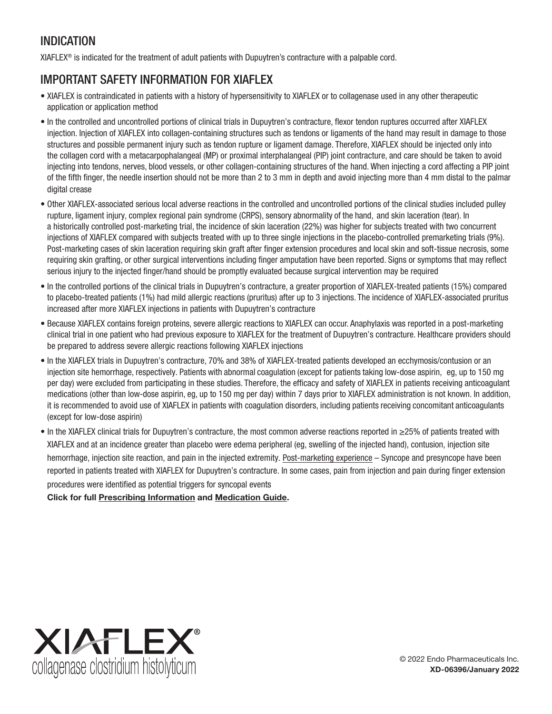# INDICATION

XIAFLEX® is indicated for the treatment of adult patients with Dupuytren's contracture with a palpable cord.

# IMPORTANT SAFETY INFORMATION FOR XIAFLEX

- XIAFLEX is contraindicated in patients with a history of hypersensitivity to XIAFLEX or to collagenase used in any other therapeutic application or application method
- In the controlled and uncontrolled portions of clinical trials in Dupuytren's contracture, flexor tendon ruptures occurred after XIAFLEX injection. Injection of XIAFLEX into collagen-containing structures such as tendons or ligaments of the hand may result in damage to those structures and possible permanent injury such as tendon rupture or ligament damage. Therefore, XIAFLEX should be injected only into the collagen cord with a metacarpophalangeal (MP) or proximal interphalangeal (PIP) joint contracture, and care should be taken to avoid injecting into tendons, nerves, blood vessels, or other collagen-containing structures of the hand. When injecting a cord affecting a PIP joint of the fifth finger, the needle insertion should not be more than 2 to 3 mm in depth and avoid injecting more than 4 mm distal to the palmar digital crease
- Other XIAFLEX-associated serious local adverse reactions in the controlled and uncontrolled portions of the clinical studies included pulley rupture, ligament injury, complex regional pain syndrome (CRPS), sensory abnormality of the hand, and skin laceration (tear). In a historically controlled post-marketing trial, the incidence of skin laceration (22%) was higher for subjects treated with two concurrent injections of XIAFLEX compared with subjects treated with up to three single injections in the placebo-controlled premarketing trials (9%). Post-marketing cases of skin laceration requiring skin graft after finger extension procedures and local skin and soft-tissue necrosis, some requiring skin grafting, or other surgical interventions including finger amputation have been reported. Signs or symptoms that may reflect serious injury to the injected finger/hand should be promptly evaluated because surgical intervention may be required
- In the controlled portions of the clinical trials in Dupuytren's contracture, a greater proportion of XIAFLEX-treated patients (15%) compared to placebo-treated patients (1%) had mild allergic reactions (pruritus) after up to 3 injections. The incidence of XIAFLEX-associated pruritus increased after more XIAFLEX injections in patients with Dupuytren's contracture
- Because XIAFLEX contains foreign proteins, severe allergic reactions to XIAFLEX can occur. Anaphylaxis was reported in a post-marketing clinical trial in one patient who had previous exposure to XIAFLEX for the treatment of Dupuytren's contracture. Healthcare providers should be prepared to address severe allergic reactions following XIAFLEX injections
- In the XIAFLEX trials in Dupuytren's contracture, 70% and 38% of XIAFLEX-treated patients developed an ecchymosis/contusion or an injection site hemorrhage, respectively. Patients with abnormal coagulation (except for patients taking low-dose aspirin, eg, up to 150 mg per day) were excluded from participating in these studies. Therefore, the efficacy and safety of XIAFLEX in patients receiving anticoagulant medications (other than low-dose aspirin, eg, up to 150 mg per day) within 7 days prior to XIAFLEX administration is not known. In addition, it is recommended to avoid use of XIAFLEX in patients with coagulation disorders, including patients receiving concomitant anticoagulants (except for low-dose aspirin)
- In the XIAFLEX clinical trials for Dupuytren's contracture, the most common adverse reactions reported in ≥25% of patients treated with XIAFLEX and at an incidence greater than placebo were edema peripheral (eg, swelling of the injected hand), contusion, injection site hemorrhage, injection site reaction, and pain in the injected extremity. Post-marketing experience – Syncope and presyncope have been reported in patients treated with XIAFLEX for Dupuytren's contracture. In some cases, pain from injection and pain during finger extension procedures were identified as potential triggers for syncopal events

Click for full P[rescribing Information](https://endodocuments.com/XIAFLEX/PI) and [Medication Guide](https://endodocuments.com/XIAFLEX/MG).

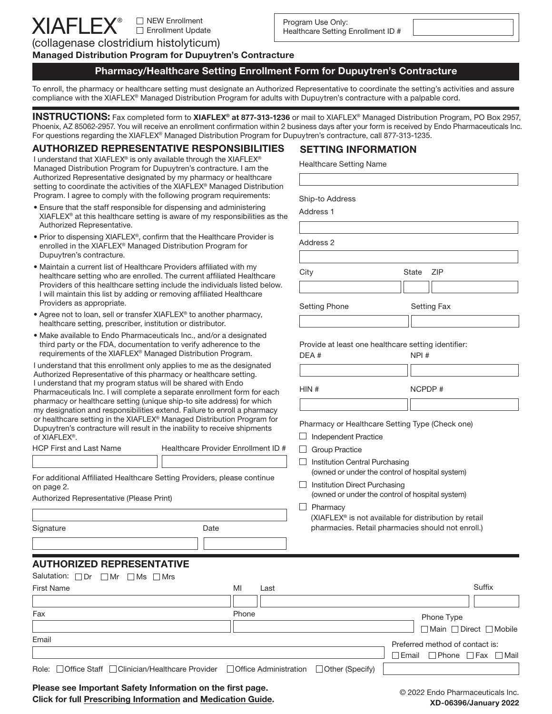NEW Enrollment Enrollment Update

Healthcare Setting Name

Ship-to Address

**City** 

Address 2

Address 1

(collagenase clostridium histolyticum)

XIAFLEX®

Managed Distribution Program for Dupuytren's Contracture

### Pharmacy/Healthcare Setting Enrollment Form for Dupuytren's Contracture

To enroll, the pharmacy or healthcare setting must designate an Authorized Representative to coordinate the setting's activities and assure compliance with the XIAFLEX® Managed Distribution Program for adults with Dupuytren's contracture with a palpable cord.

INSTRUCTIONS: Fax completed form to XIAFLEX® at 877-313-1236 or mail to XIAFLEX® Managed Distribution Program, PO Box 2957, Phoenix, AZ 85062-2957. You will receive an enrollment confirmation within 2 business days after your form is received by Endo Pharmaceuticals Inc. For questions regarding the XIAFLEX® Managed Distribution Program for Dupuytren's contracture, call 877-313-1235.

#### AUTHORIZED REPRESENTATIVE RESPONSIBILITIES SETTING INFORMATION

I understand that XIAFLEX® is only available through the XIAFLEX® Managed Distribution Program for Dupuytren's contracture. I am the Authorized Representative designated by my pharmacy or healthcare setting to coordinate the activities of the XIAFLEX® Managed Distribution Program. I agree to comply with the following program requirements:

- Ensure that the staff responsible for dispensing and administering XIAFLEX® at this healthcare setting is aware of my responsibilities as the Authorized Representative.
- Prior to dispensing XIAFLEX®, confirm that the Healthcare Provider is enrolled in the XIAFLEX® Managed Distribution Program for Dupuytren's contracture.
- Maintain a current list of Healthcare Providers affiliated with my healthcare setting who are enrolled. The current affiliated Healthcare Providers of this healthcare setting include the individuals listed below. I will maintain this list by adding or removing affiliated Healthcare Providers as appropriate.
- Agree not to loan, sell or transfer XIAFLEX<sup>®</sup> to another pharmacy, healthcare setting, prescriber, institution or distributor.
- Make available to Endo Pharmaceuticals Inc., and/or a designated third party or the FDA, documentation to verify adherence to the requirements of the XIAFLEX® Managed Distribution Program.

I understand that this enrollment only applies to me as the designated Authorized Representative of this pharmacy or healthcare setting. I understand that my program status will be shared with Endo Pharmaceuticals Inc. I will complete a separate enrollment form for each pharmacy or healthcare setting (unique ship-to site address) for which my designation and responsibilities extend. Failure to enroll a pharmacy or healthcare setting in the XIAFLEX® Managed Distribution Program for Dupuytren's contracture will result in the inability to receive shipments of XIAFLEX®.

HCP First and Last Name

Healthcare Provider Enrollment ID #

For additional Affiliated Healthcare Setting Providers, please continue on page 2.

Authorized Representative (Please Print)

Signature Date Date

Setting Phone

Provide at least one healthcare setting identifier:

DEA # NPI #

State

Setting Fax

ZIP

HIN # NCPDP #

Pharmacy or Healthcare Setting Type (Check one)

- $\Box$  Independent Practice
- Group Practice
- $\Box$  Institution Central Purchasing (owned or under the control of hospital system)
- $\Box$  Institution Direct Purchasing (owned or under the control of hospital system)

 $\Box$  Pharmacy (XIAFLEX® is not available for distribution by retail

pharmacies. Retail pharmacies should not enroll.)

### AUTHORIZED REPRESENTATIVE

|                   |  | Salutation: □ Dr □ Mr □ Ms □ Mrs                                                               |       |      |  |                                                                                     |                          |
|-------------------|--|------------------------------------------------------------------------------------------------|-------|------|--|-------------------------------------------------------------------------------------|--------------------------|
| <b>First Name</b> |  |                                                                                                | MI    | Last |  |                                                                                     | Suffix                   |
|                   |  |                                                                                                |       |      |  |                                                                                     |                          |
| Fax               |  |                                                                                                | Phone |      |  | Phone Type                                                                          | □ Main □ Direct □ Mobile |
| Email             |  |                                                                                                |       |      |  | Preferred method of contact is:<br>$\Box$ Email $\Box$ Phone $\Box$ Fax $\Box$ Mail |                          |
|                   |  | Role: □ Office Staff □ Clinician/Healthcare Provider □ Office Administration □ Other (Specify) |       |      |  |                                                                                     |                          |

Please see Important Safety Information on the first page. Click for full [Prescribing Information](https://endodocuments.com/XIAFLEX/PI) and [Medication Guide.](https://endodocuments.com/XIAFLEX/MG)